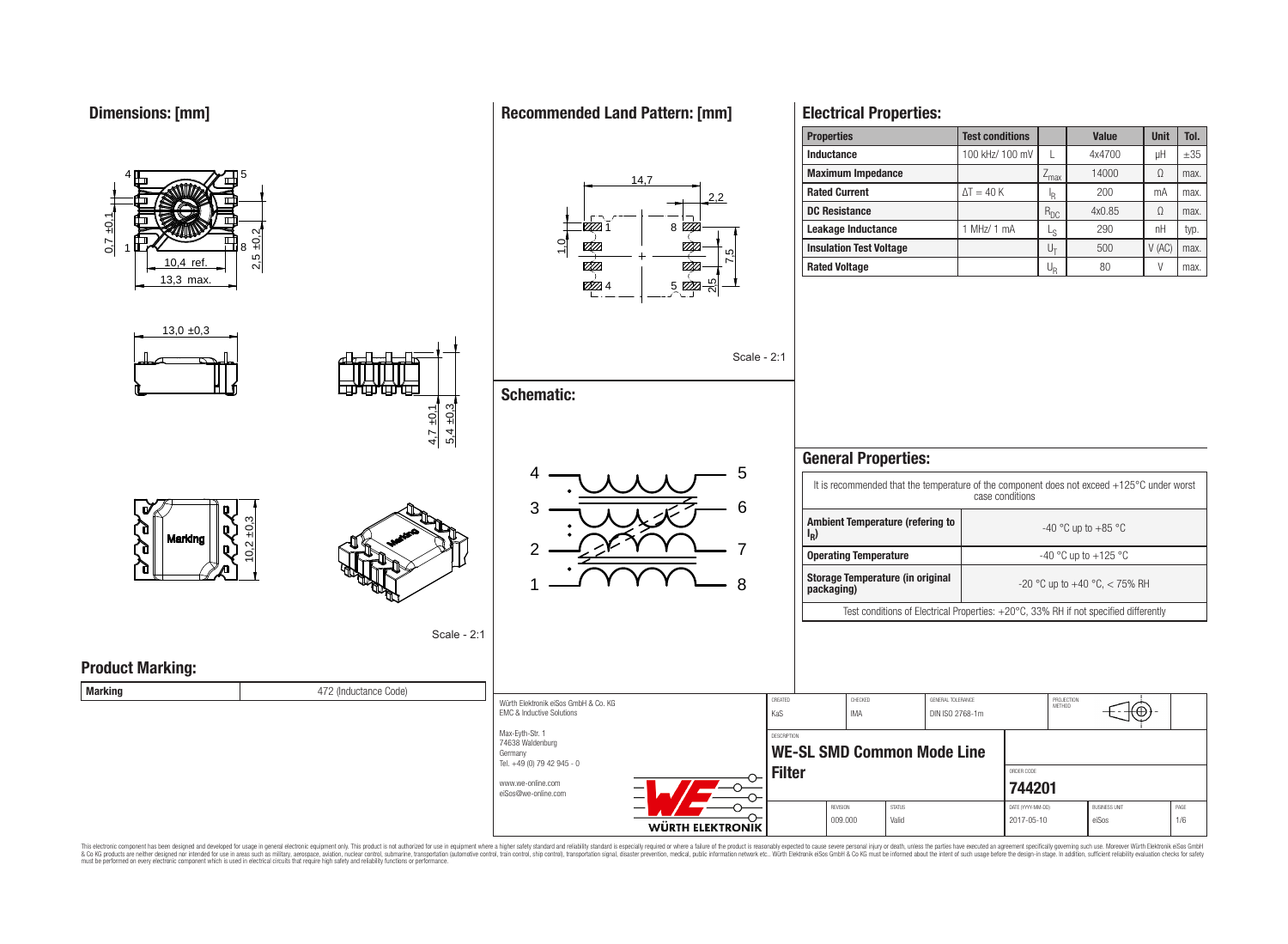

This electronic component has been designed and developed for usage in general electronic equipment only. This product is not authorized for use in equipment where a higher safety standard and reliability standard is espec & Ook product a label and the membed of the seasuch as marked and as which such a membed and the such assume that income in the seasuch and the simulation and the such assume that include to the such a membed and the such

### **Recommended Land Pattern: [mm]**

**Electrical Properties:**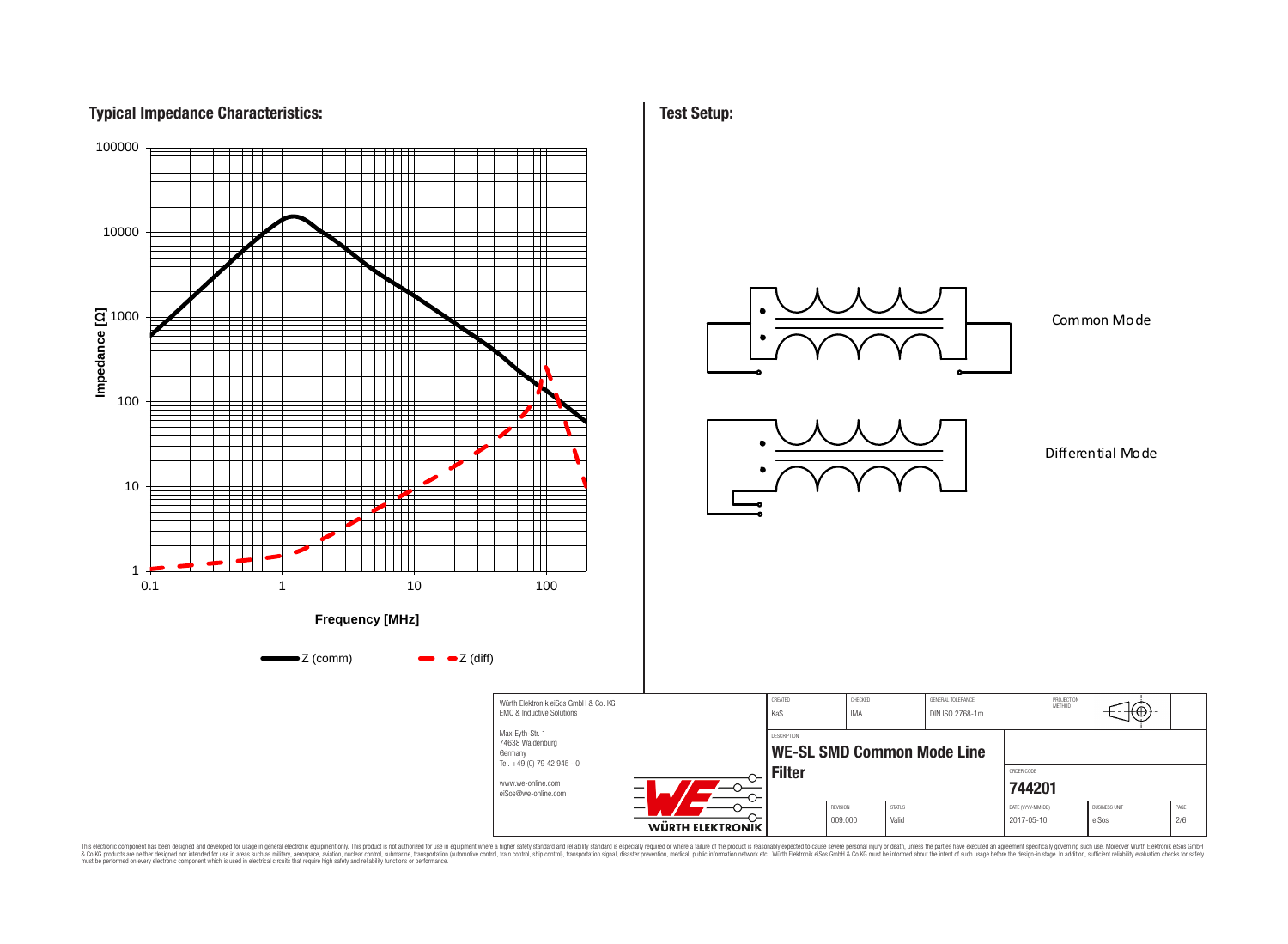# **Typical Impedance Characteristics:**



This electronic component has been designed and developed for usage in general electronic equipment only. This product is not authorized for subserved requipment where a higher selection equipment where a higher selection

**Test Setup:**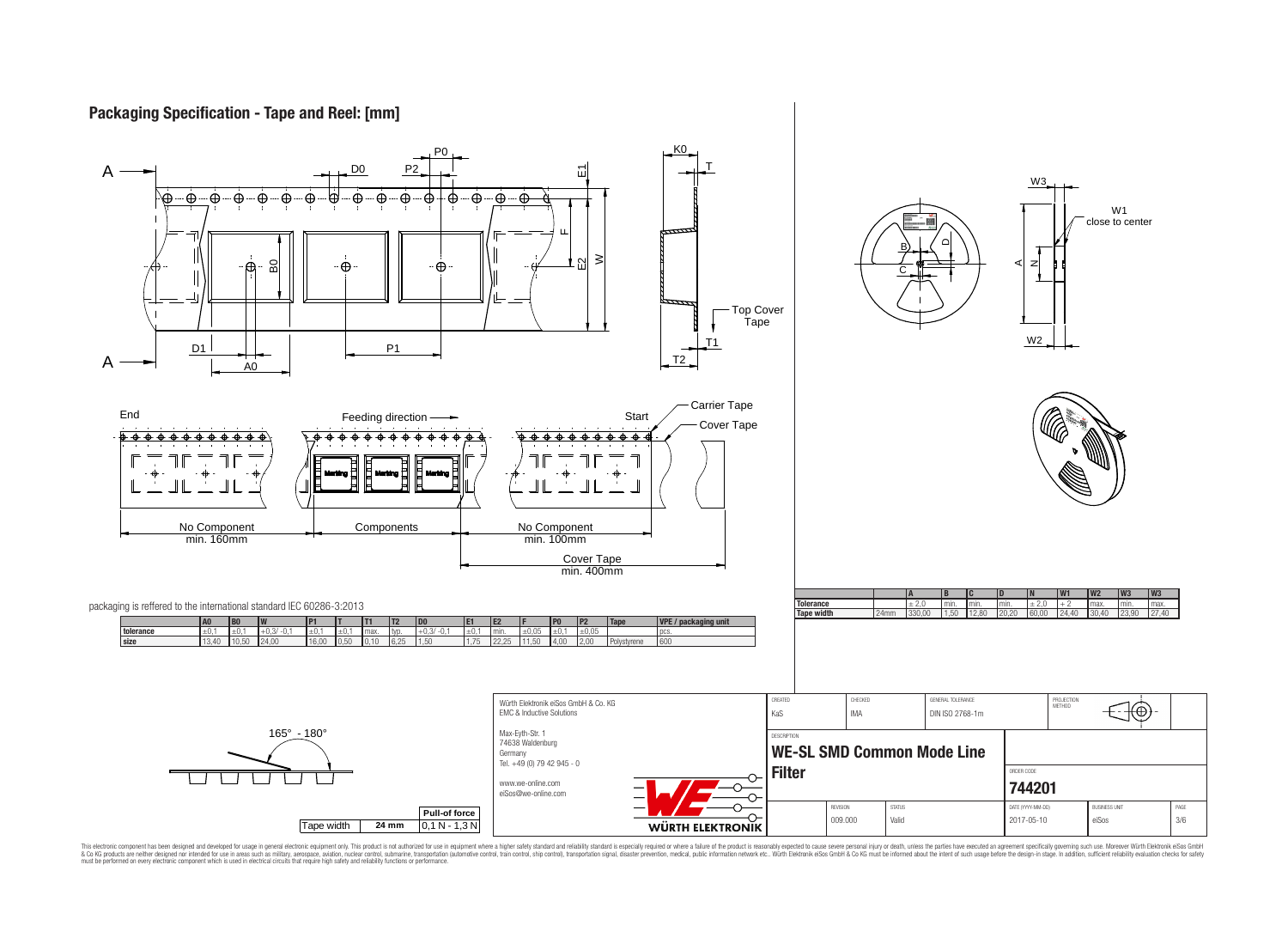### **Packaging Specification - Tape and Reel: [mm]**



This electronic component has been designed and developed for usage in general electronic equipment only. This product is not authorized for subserved requipment where a higher selection equipment where a higher selection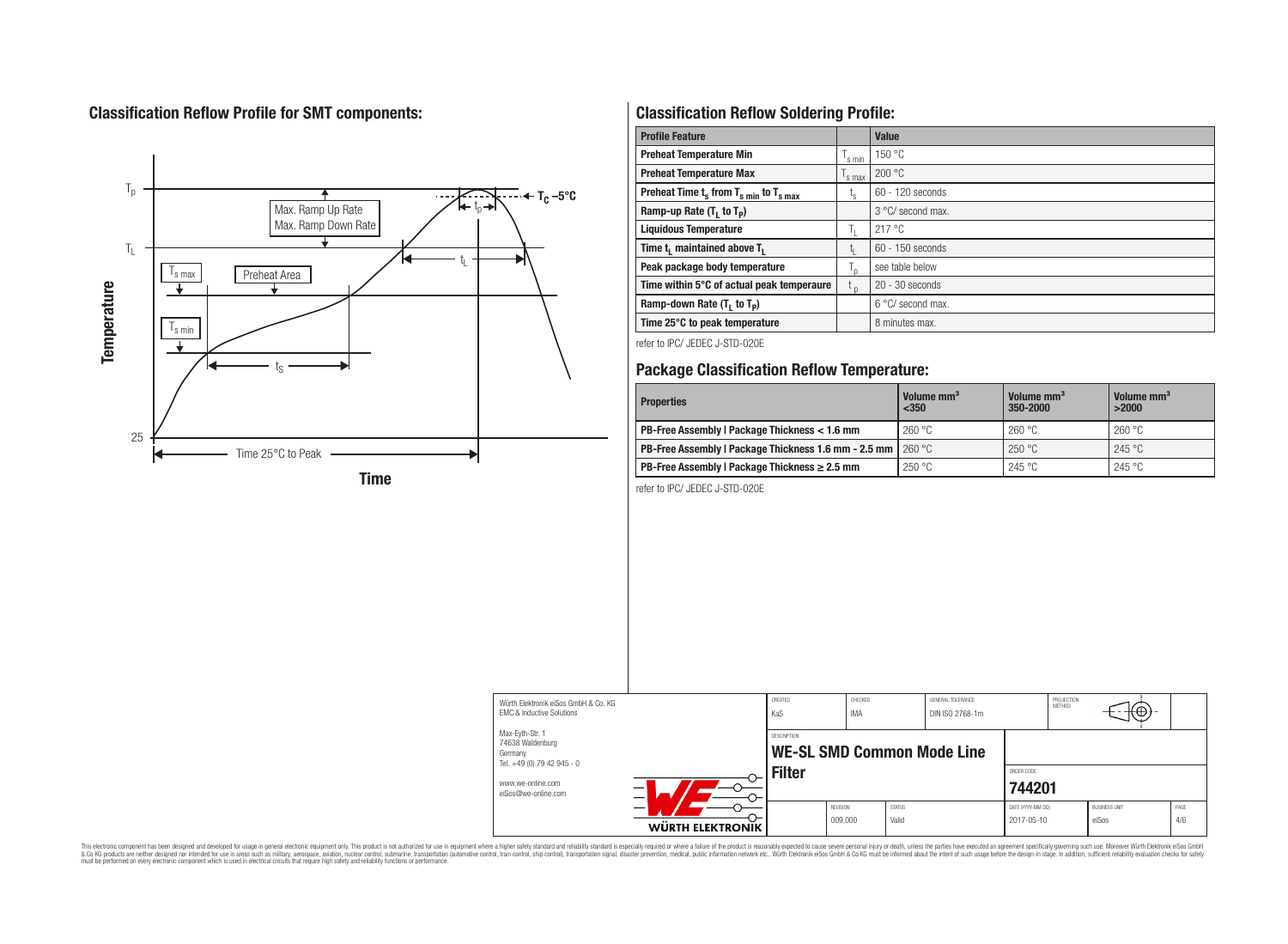# **Classification Reflow Profile for SMT components:**



# **Classification Reflow Soldering Profile:**

| <b>Profile Feature</b>                                               |         | <b>Value</b>               |
|----------------------------------------------------------------------|---------|----------------------------|
| <b>Preheat Temperature Min</b>                                       | s min   | 150 °C                     |
| <b>Preheat Temperature Max</b>                                       | 's max  | 200 °C                     |
| Preheat Time $t_s$ from $T_s$ <sub>min</sub> to $T_s$ <sub>max</sub> | ı.      | $60 - 120$ seconds         |
| Ramp-up Rate $(T_1$ to $T_p$ )                                       |         | 3 °C/ second max.          |
| <b>Liquidous Temperature</b>                                         | ÷Γ.     | 217 °C                     |
| Time t <sub>1</sub> maintained above T <sub>1</sub>                  | կ       | $60 - 150$ seconds         |
| Peak package body temperature                                        | $T_{p}$ | see table below            |
| Time within 5°C of actual peak temperaure                            | $t_{p}$ | $20 - 30$ seconds          |
| Ramp-down Rate $(T_1$ to $T_p)$                                      |         | $6^{\circ}$ C/ second max. |
| Time 25°C to peak temperature                                        |         | 8 minutes max.             |

refer to IPC/ JEDEC J-STD-020E

### **Package Classification Reflow Temperature:**

| <b>Properties</b>                                                    | Volume mm <sup>3</sup><br>$350$ | Volume mm <sup>3</sup><br>350-2000 | Volume mm <sup>3</sup><br>>2000 |
|----------------------------------------------------------------------|---------------------------------|------------------------------------|---------------------------------|
| PB-Free Assembly   Package Thickness < 1.6 mm                        | 260 °C                          | 260 °C                             | 260 °C                          |
| <b>PB-Free Assembly   Package Thickness 1.6 mm - 2.5 mm   260 °C</b> |                                 | 250 °C                             | 245 °C                          |
| PB-Free Assembly   Package Thickness $\geq 2.5$ mm                   | 250 °C                          | 245 °C                             | 245 °C                          |

refer to IPC/ JEDEC J-STD-020E



This electronic component has been designed and developed for usage in general electronic equipment only. This product is not authorized for subserved requipment where a higher selection equipment where a higher selection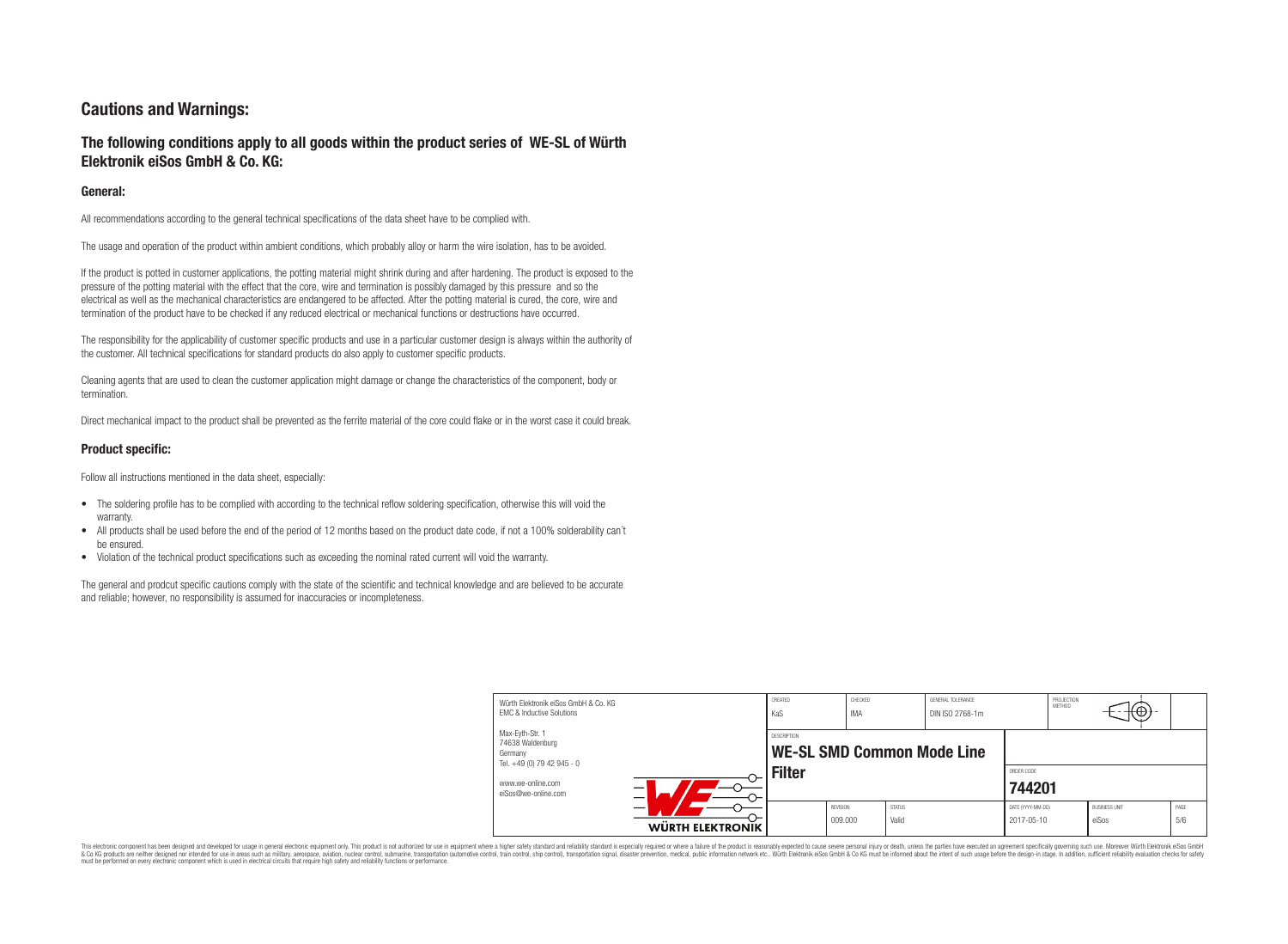# **Cautions and Warnings:**

### **The following conditions apply to all goods within the product series of WE-SL of Würth Elektronik eiSos GmbH & Co. KG:**

#### **General:**

All recommendations according to the general technical specifications of the data sheet have to be complied with.

The usage and operation of the product within ambient conditions, which probably alloy or harm the wire isolation, has to be avoided.

If the product is potted in customer applications, the potting material might shrink during and after hardening. The product is exposed to the pressure of the potting material with the effect that the core, wire and termination is possibly damaged by this pressure and so the electrical as well as the mechanical characteristics are endangered to be affected. After the potting material is cured, the core, wire and termination of the product have to be checked if any reduced electrical or mechanical functions or destructions have occurred.

The responsibility for the applicability of customer specific products and use in a particular customer design is always within the authority of the customer. All technical specifications for standard products do also apply to customer specific products.

Cleaning agents that are used to clean the customer application might damage or change the characteristics of the component, body or termination.

Direct mechanical impact to the product shall be prevented as the ferrite material of the core could flake or in the worst case it could break.

#### **Product specific:**

Follow all instructions mentioned in the data sheet, especially:

- The soldering profile has to be complied with according to the technical reflow soldering specification, otherwise this will void the warranty.
- All products shall be used before the end of the period of 12 months based on the product date code, if not a 100% solderability can't be ensured.
- Violation of the technical product specifications such as exceeding the nominal rated current will void the warranty.

The general and prodcut specific cautions comply with the state of the scientific and technical knowledge and are believed to be accurate and reliable; however, no responsibility is assumed for inaccuracies or incompleteness.

| Würth Flektronik eiSos GmbH & Co. KG<br><b>EMC &amp; Inductive Solutions</b> |                         | CREATED<br>KaS                                   | CHECKED<br><b>IMA</b> |                        | GENERAL TOLERANCE<br>DIN ISO 2768-1m |                                 | PROJECTION<br><b>METHOD</b> | ιΨ                            |             |
|------------------------------------------------------------------------------|-------------------------|--------------------------------------------------|-----------------------|------------------------|--------------------------------------|---------------------------------|-----------------------------|-------------------------------|-------------|
| Max-Eyth-Str. 1<br>74638 Waldenburg<br>Germany<br>Tel. +49 (0) 79 42 945 - 0 |                         | DESCRIPTION<br><b>WE-SL SMD Common Mode Line</b> |                       |                        |                                      |                                 |                             |                               |             |
| www.we-online.com<br>eiSos@we-online.com                                     |                         | <b>Filter</b>                                    |                       |                        | ORDER CODE<br>744201                 |                                 |                             |                               |             |
|                                                                              | <b>WÜRTH ELEKTRONIK</b> |                                                  | REVISION<br>009.000   | <b>STATUS</b><br>Valid |                                      | DATE (YYYY-MM-DD)<br>2017-05-10 |                             | <b>BUSINESS UNIT</b><br>eiSos | PAGE<br>5/6 |

This electronic component has been designed and developed for usage in general electronic equipment only. This product is not authorized for use in equipment where a higher safety standard and reliability standard is espec & Ook product a label and the membed of the seasuch as marked and as which such a membed and the such assume that income in the seasuch and the simulation and the such assume that include to the such a membed and the such